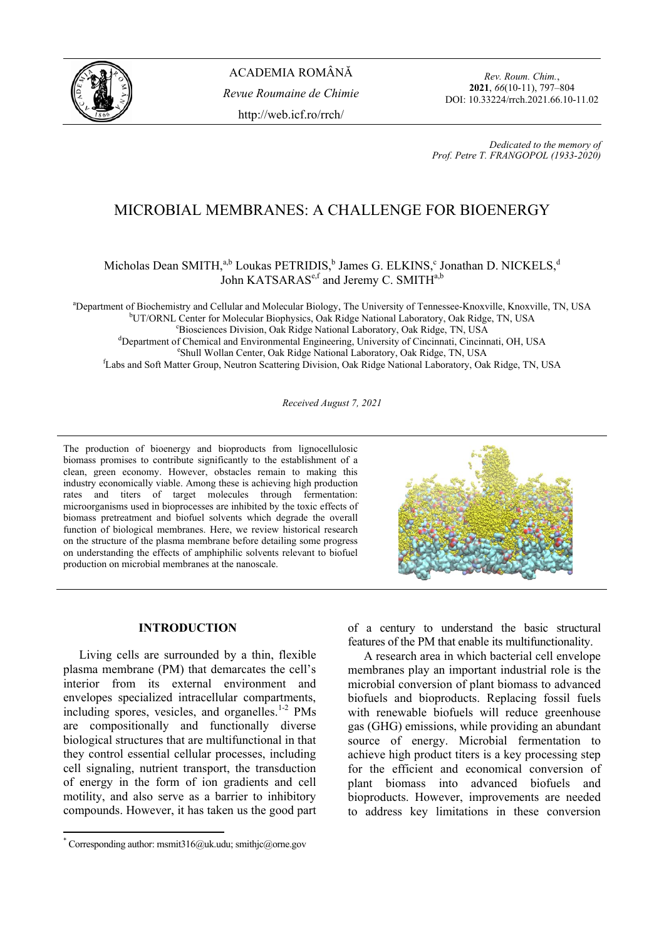

*Rev. Roum. Chim.*, **2021**, *66*(10-11), 797–804 DOI: 10.33224/rrch.2021.66.10-11.02

*Dedicated to the memory of Prof. Petre T. FRANGOPOL (1933-2020)* 

# MICROBIAL MEMBRANES: A CHALLENGE FOR BIOENERGY

## Micholas Dean SMITH,<sup>a,b</sup> Loukas PETRIDIS,<sup>b</sup> James G. ELKINS,<sup>c</sup> Jonathan D. NICKELS,<sup>d</sup> John KATSARAS<sup>e,f</sup> and Jeremy C. SMITH<sup>a,b</sup>

<sup>a</sup>Department of Biochemistry and Cellular and Molecular Biology, The University of Tennessee-Knoxville, Knoxville, TN, USA biology, The University of Tennessee-Knoxville, TN, USA biology, TN LISA <sup>b</sup>UT/ORNL Center for Molecular Biophysics, Oak Ridge National Laboratory, Oak Ridge, TN, USA <sup>c</sup>Biosciences Division, Oak Ridge National Laboratory, Oak Ridge, TN, USA <sup>d</sup>Department of Chemical and Environmental Engineering, University of Cincinnati, Cincinnati, OH, USA <sup>e</sup>Shull Wollan Center, Oak Ridge National Laboratory, Oak Ridge, TN, USA

<sup>f</sup>Labs and Soft Matter Group, Neutron Scattering Division, Oak Ridge National Laboratory, Oak Ridge, TN, USA

*Received August 7, 2021*

The production of bioenergy and bioproducts from lignocellulosic biomass promises to contribute significantly to the establishment of a clean, green economy. However, obstacles remain to making this industry economically viable. Among these is achieving high production rates and titers of target molecules through fermentation: microorganisms used in bioprocesses are inhibited by the toxic effects of biomass pretreatment and biofuel solvents which degrade the overall function of biological membranes. Here, we review historical research on the structure of the plasma membrane before detailing some progress on understanding the effects of amphiphilic solvents relevant to biofuel production on microbial membranes at the nanoscale.



## **INTRODUCTION\***

Living cells are surrounded by a thin, flexible plasma membrane (PM) that demarcates the cell's interior from its external environment and envelopes specialized intracellular compartments, including spores, vesicles, and organelles. $1-2$  PMs are compositionally and functionally diverse biological structures that are multifunctional in that they control essential cellular processes, including cell signaling, nutrient transport, the transduction of energy in the form of ion gradients and cell motility, and also serve as a barrier to inhibitory compounds. However, it has taken us the good part

 $\overline{\phantom{a}}$ 

of a century to understand the basic structural features of the PM that enable its multifunctionality.

A research area in which bacterial cell envelope membranes play an important industrial role is the microbial conversion of plant biomass to advanced biofuels and bioproducts. Replacing fossil fuels with renewable biofuels will reduce greenhouse gas (GHG) emissions, while providing an abundant source of energy. Microbial fermentation to achieve high product titers is a key processing step for the efficient and economical conversion of plant biomass into advanced biofuels and bioproducts. However, improvements are needed to address key limitations in these conversion

<sup>\*</sup> Corresponding author: msmit316@uk.udu; smithjc@orne.gov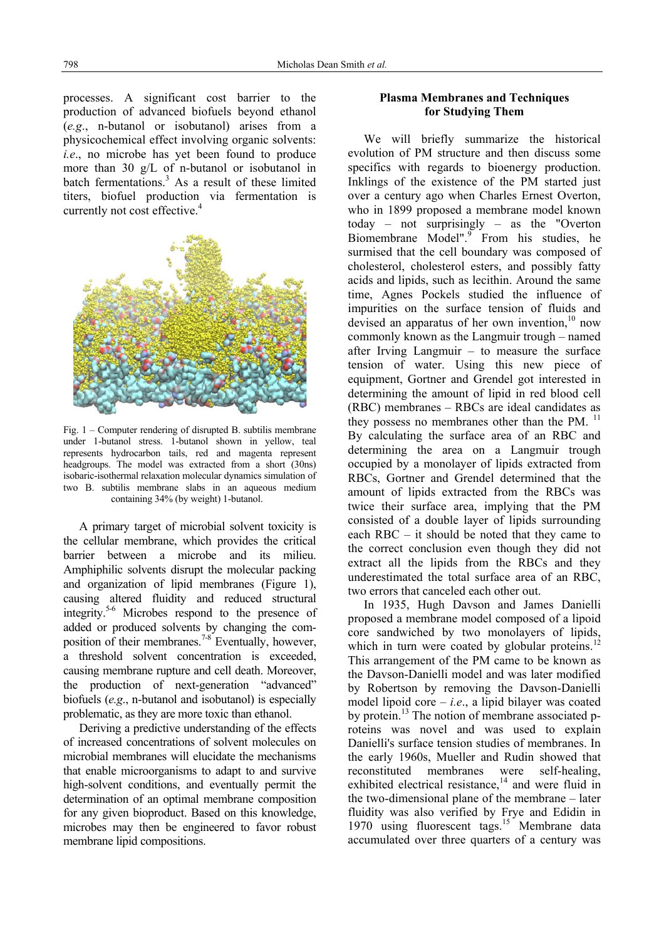processes. A significant cost barrier to the production of advanced biofuels beyond ethanol (*e.g*., n-butanol or isobutanol) arises from a physicochemical effect involving organic solvents: *i.e*., no microbe has yet been found to produce more than 30 g/L of n-butanol or isobutanol in batch fermentations.<sup>3</sup> As a result of these limited titers, biofuel production via fermentation is currently not cost effective.<sup>4</sup>



Fig. 1 – Computer rendering of disrupted B. subtilis membrane under 1-butanol stress. 1-butanol shown in yellow, teal represents hydrocarbon tails, red and magenta represent headgroups. The model was extracted from a short (30ns) isobaric-isothermal relaxation molecular dynamics simulation of two B. subtilis membrane slabs in an aqueous medium containing 34% (by weight) 1-butanol.

A primary target of microbial solvent toxicity is the cellular membrane, which provides the critical barrier between a microbe and its milieu. Amphiphilic solvents disrupt the molecular packing and organization of lipid membranes (Figure 1), causing altered fluidity and reduced structural integrity.5-6 Microbes respond to the presence of added or produced solvents by changing the composition of their membranes.<sup> $7-8$ </sup> Eventually, however, a threshold solvent concentration is exceeded, causing membrane rupture and cell death. Moreover, the production of next-generation "advanced" biofuels (*e.g*., n-butanol and isobutanol) is especially problematic, as they are more toxic than ethanol.

Deriving a predictive understanding of the effects of increased concentrations of solvent molecules on microbial membranes will elucidate the mechanisms that enable microorganisms to adapt to and survive high-solvent conditions, and eventually permit the determination of an optimal membrane composition for any given bioproduct. Based on this knowledge, microbes may then be engineered to favor robust membrane lipid compositions.

## **Plasma Membranes and Techniques for Studying Them**

We will briefly summarize the historical evolution of PM structure and then discuss some specifics with regards to bioenergy production. Inklings of the existence of the PM started just over a century ago when Charles Ernest Overton, who in 1899 proposed a membrane model known today – not surprisingly – as the "Overton Biomembrane Model".<sup>9</sup> From his studies, he surmised that the cell boundary was composed of cholesterol, cholesterol esters, and possibly fatty acids and lipids, such as lecithin. Around the same time, Agnes Pockels studied the influence of impurities on the surface tension of fluids and devised an apparatus of her own invention, $10$  now commonly known as the Langmuir trough – named after Irving Langmuir – to measure the surface tension of water. Using this new piece of equipment, Gortner and Grendel got interested in determining the amount of lipid in red blood cell (RBC) membranes – RBCs are ideal candidates as they possess no membranes other than the PM.<sup>11</sup> By calculating the surface area of an RBC and determining the area on a Langmuir trough occupied by a monolayer of lipids extracted from RBCs, Gortner and Grendel determined that the amount of lipids extracted from the RBCs was twice their surface area, implying that the PM consisted of a double layer of lipids surrounding each RBC – it should be noted that they came to the correct conclusion even though they did not extract all the lipids from the RBCs and they underestimated the total surface area of an RBC, two errors that canceled each other out.

In 1935, Hugh Davson and James Danielli proposed a membrane model composed of a lipoid proposed a memorial messels. which in turn were coated by globular proteins.<sup>1</sup> This arrangement of the PM came to be known as the Davson-Danielli model and was later modified by Robertson by removing the Davson-Danielli model lipoid core  $-i.e.,$  a lipid bilayer was coated by protein.<sup>13</sup> The notion of membrane associated proteins was novel and was used to explain Danielli's surface tension studies of membranes. In the early 1960s, Mueller and Rudin showed that reconstituted membranes were self-healing, exhibited electrical resistance, $14$  and were fluid in the two-dimensional plane of the membrane – later fluidity was also verified by Frye and Edidin in 1970 using fluorescent tags.<sup>15</sup> Membrane data accumulated over three quarters of a century was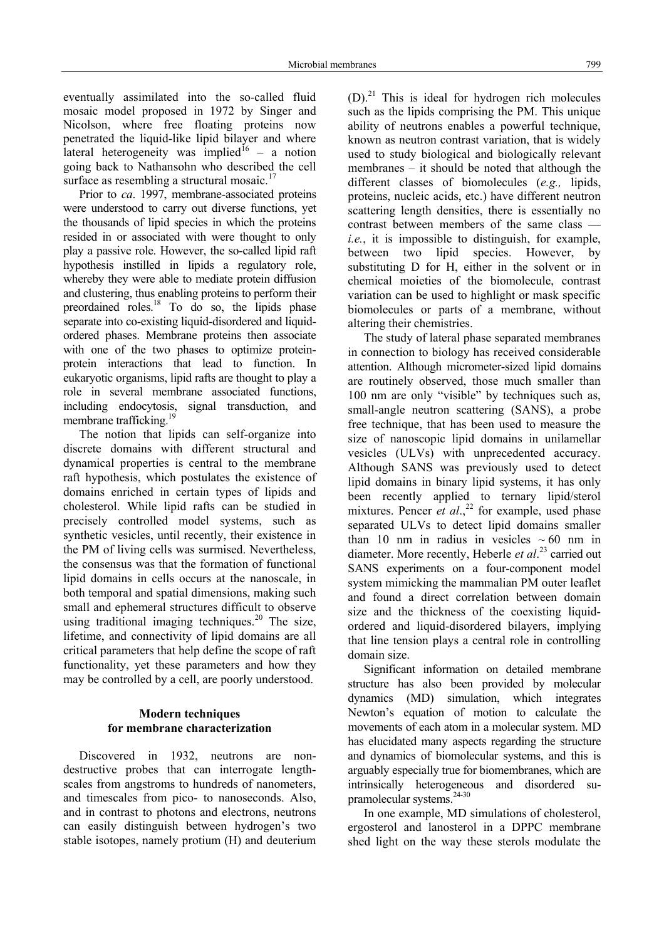eventually assimilated into the so-called fluid mosaic model proposed in 1972 by Singer and Nicolson, where free floating proteins now penetrated the liquid-like lipid bilayer and where lateral heterogeneity was implied<sup>16</sup> – a notion going back to Nathansohn who described the cell surface as resembling a structural mosaic. $17$ 

Prior to *ca*. 1997, membrane-associated proteins were understood to carry out diverse functions, yet the thousands of lipid species in which the proteins resided in or associated with were thought to only play a passive role. However, the so-called lipid raft hypothesis instilled in lipids a regulatory role, whereby they were able to mediate protein diffusion and clustering, thus enabling proteins to perform their preordained roles.<sup>18</sup> To do so, the lipids phase separate into co-existing liquid-disordered and liquidordered phases. Membrane proteins then associate with one of the two phases to optimize proteinprotein interactions that lead to function. In eukaryotic organisms, lipid rafts are thought to play a role in several membrane associated functions, including endocytosis, signal transduction, and membrane trafficking.<sup>19</sup>

The notion that lipids can self-organize into discrete domains with different structural and dynamical properties is central to the membrane raft hypothesis, which postulates the existence of domains enriched in certain types of lipids and cholesterol. While lipid rafts can be studied in precisely controlled model systems, such as synthetic vesicles, until recently, their existence in the PM of living cells was surmised. Nevertheless, the consensus was that the formation of functional lipid domains in cells occurs at the nanoscale, in both temporal and spatial dimensions, making such small and ephemeral structures difficult to observe using traditional imaging techniques.<sup>20</sup> The size, lifetime, and connectivity of lipid domains are all critical parameters that help define the scope of raft functionality, yet these parameters and how they may be controlled by a cell, are poorly understood.

## **Modern techniques for membrane characterization**

Discovered in 1932, neutrons are nondestructive probes that can interrogate lengthscales from angstroms to hundreds of nanometers, and timescales from pico- to nanoseconds. Also, and in contrast to photons and electrons, neutrons can easily distinguish between hydrogen's two stable isotopes, namely protium (H) and deuterium  $(D)$ .<sup>21</sup> This is ideal for hydrogen rich molecules such as the lipids comprising the PM. This unique ability of neutrons enables a powerful technique, known as neutron contrast variation, that is widely used to study biological and biologically relevant membranes – it should be noted that although the different classes of biomolecules (*e.g.,* lipids, proteins, nucleic acids, etc.) have different neutron scattering length densities, there is essentially no contrast between members of the same class *i.e.*, it is impossible to distinguish, for example, between two lipid species. However, by substituting D for H, either in the solvent or in chemical moieties of the biomolecule, contrast variation can be used to highlight or mask specific biomolecules or parts of a membrane, without altering their chemistries.

The study of lateral phase separated membranes in connection to biology has received considerable attention. Although micrometer-sized lipid domains are routinely observed, those much smaller than 100 nm are only "visible" by techniques such as, small-angle neutron scattering (SANS), a probe free technique, that has been used to measure the size of nanoscopic lipid domains in unilamellar vesicles (ULVs) with unprecedented accuracy. Although SANS was previously used to detect lipid domains in binary lipid systems, it has only been recently applied to ternary lipid/sterol mixtures. Pencer  $et al.<sup>22</sup>$  for example, used phase separated ULVs to detect lipid domains smaller than 10 nm in radius in vesicles  $\sim 60$  nm in diameter. More recently, Heberle *et al*. 23 carried out SANS experiments on a four-component model system mimicking the mammalian PM outer leaflet and found a direct correlation between domain size and the thickness of the coexisting liquidordered and liquid-disordered bilayers, implying that line tension plays a central role in controlling domain size.

Significant information on detailed membrane structure has also been provided by molecular dynamics (MD) simulation, which integrates Newton's equation of motion to calculate the movements of each atom in a molecular system. MD has elucidated many aspects regarding the structure and dynamics of biomolecular systems, and this is arguably especially true for biomembranes, which are intrinsically heterogeneous and disordered supramolecular systems.24-30

In one example, MD simulations of cholesterol, ergosterol and lanosterol in a DPPC membrane shed light on the way these sterols modulate the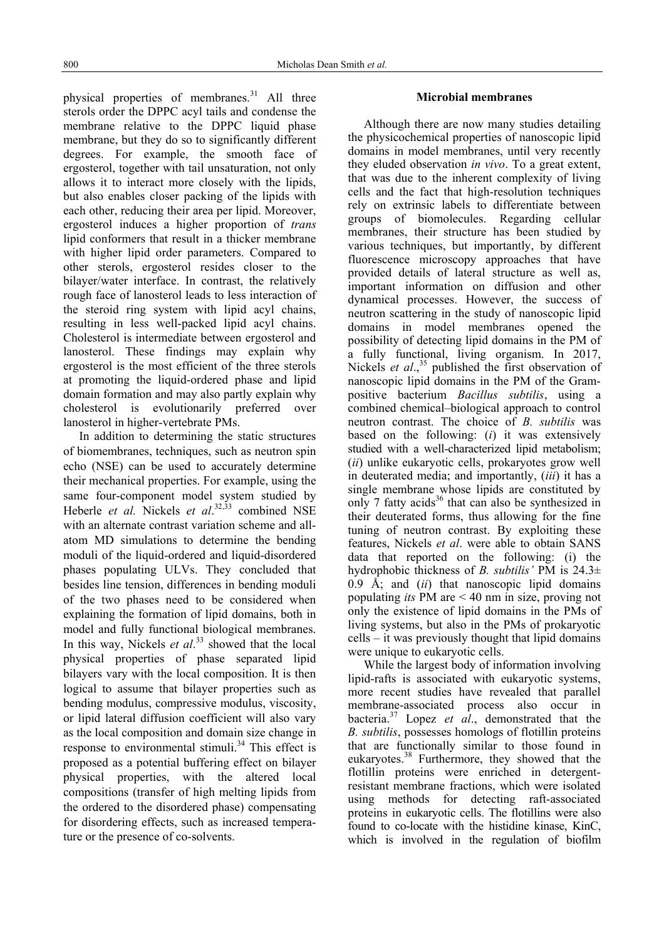physical properties of membranes. $^{31}$  All three sterols order the DPPC acyl tails and condense the membrane relative to the DPPC liquid phase membrane, but they do so to significantly different degrees. For example, the smooth face of ergosterol, together with tail unsaturation, not only allows it to interact more closely with the lipids, but also enables closer packing of the lipids with each other, reducing their area per lipid. Moreover, ergosterol induces a higher proportion of *trans* lipid conformers that result in a thicker membrane with higher lipid order parameters. Compared to other sterols, ergosterol resides closer to the bilayer/water interface. In contrast, the relatively rough face of lanosterol leads to less interaction of the steroid ring system with lipid acyl chains, resulting in less well-packed lipid acyl chains. Cholesterol is intermediate between ergosterol and lanosterol. These findings may explain why ergosterol is the most efficient of the three sterols at promoting the liquid-ordered phase and lipid domain formation and may also partly explain why cholesterol is evolutionarily preferred over lanosterol in higher-vertebrate PMs.

In addition to determining the static structures of biomembranes, techniques, such as neutron spin echo (NSE) can be used to accurately determine their mechanical properties. For example, using the same four-component model system studied by Heberle *et al.* Nickels *et al*. 32,33 combined NSE with an alternate contrast variation scheme and allatom MD simulations to determine the bending moduli of the liquid-ordered and liquid-disordered phases populating ULVs. They concluded that besides line tension, differences in bending moduli of the two phases need to be considered when explaining the formation of lipid domains, both in model and fully functional biological membranes. In this way, Nickels *et al*. 33 showed that the local physical properties of phase separated lipid bilayers vary with the local composition. It is then logical to assume that bilayer properties such as bending modulus, compressive modulus, viscosity, or lipid lateral diffusion coefficient will also vary as the local composition and domain size change in response to environmental stimuli.<sup>34</sup> This effect is proposed as a potential buffering effect on bilayer physical properties, with the altered local compositions (transfer of high melting lipids from the ordered to the disordered phase) compensating for disordering effects, such as increased temperature or the presence of co-solvents.

## **Microbial membranes**

Although there are now many studies detailing the physicochemical properties of nanoscopic lipid domains in model membranes, until very recently they eluded observation *in vivo*. To a great extent, that was due to the inherent complexity of living cells and the fact that high-resolution techniques rely on extrinsic labels to differentiate between groups of biomolecules. Regarding cellular membranes, their structure has been studied by various techniques, but importantly, by different fluorescence microscopy approaches that have provided details of lateral structure as well as, important information on diffusion and other dynamical processes. However, the success of neutron scattering in the study of nanoscopic lipid domains in model membranes opened the possibility of detecting lipid domains in the PM of a fully functional, living organism. In 2017, Nickels *et al.*,<sup>35</sup> published the first observation of nanoscopic lipid domains in the PM of the Grampositive bacterium *Bacillus subtilis*, using a combined chemical–biological approach to control neutron contrast. The choice of *B. subtilis* was based on the following: (*i*) it was extensively studied with a well-characterized lipid metabolism; (*ii*) unlike eukaryotic cells, prokaryotes grow well in deuterated media; and importantly, (*iii*) it has a single membrane whose lipids are constituted by only 7 fatty acids<sup>36</sup> that can also be synthesized in their deuterated forms, thus allowing for the fine tuning of neutron contrast. By exploiting these features, Nickels *et al*. were able to obtain SANS data that reported on the following: (i) the hydrophobic thickness of *B. subtilis'* PM is 24.3±  $0.9 \text{ Å}$ ; and *(ii)* that nanoscopic lipid domains populating *its* PM are < 40 nm in size, proving not only the existence of lipid domains in the PMs of living systems, but also in the PMs of prokaryotic cells – it was previously thought that lipid domains were unique to eukaryotic cells.

While the largest body of information involving lipid-rafts is associated with eukaryotic systems, more recent studies have revealed that parallel membrane-associated process also occur in bacteria.37 Lopez *et al*., demonstrated that the *B. subtilis*, possesses homologs of flotillin proteins that are functionally similar to those found in eukaryotes.38 Furthermore, they showed that the flotillin proteins were enriched in detergentresistant membrane fractions, which were isolated using methods for detecting raft-associated proteins in eukaryotic cells. The flotillins were also found to co-locate with the histidine kinase, KinC, which is involved in the regulation of biofilm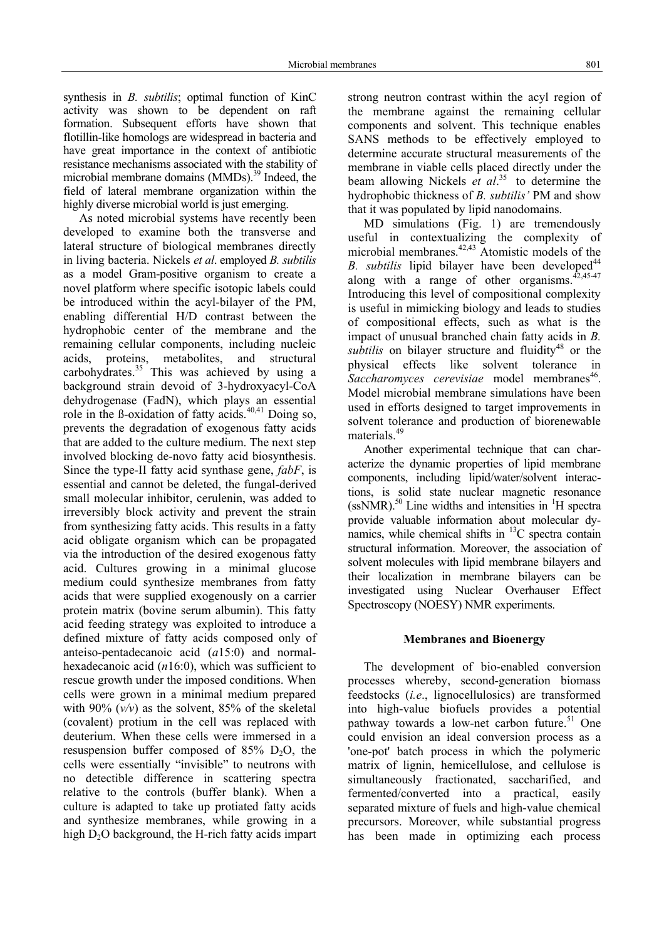synthesis in *B. subtilis*; optimal function of KinC activity was shown to be dependent on raft formation. Subsequent efforts have shown that flotillin-like homologs are widespread in bacteria and have great importance in the context of antibiotic resistance mechanisms associated with the stability of microbial membrane domains (MMDs).<sup>39</sup> Indeed, the field of lateral membrane organization within the highly diverse microbial world is just emerging.

As noted microbial systems have recently been developed to examine both the transverse and lateral structure of biological membranes directly in living bacteria. Nickels *et al*. employed *B. subtilis* as a model Gram-positive organism to create a novel platform where specific isotopic labels could be introduced within the acyl-bilayer of the PM, enabling differential H/D contrast between the hydrophobic center of the membrane and the remaining cellular components, including nucleic acids, proteins, metabolites, and structural carbohydrates. $35$  This was achieved by using a background strain devoid of 3-hydroxyacyl-CoA dehydrogenase (FadN), which plays an essential role in the  $\beta$ -oxidation of fatty acids.<sup>40,41</sup> Doing so, prevents the degradation of exogenous fatty acids that are added to the culture medium. The next step involved blocking de-novo fatty acid biosynthesis. Since the type-II fatty acid synthase gene, *fabF*, is essential and cannot be deleted, the fungal-derived small molecular inhibitor, cerulenin, was added to irreversibly block activity and prevent the strain from synthesizing fatty acids. This results in a fatty acid obligate organism which can be propagated via the introduction of the desired exogenous fatty acid. Cultures growing in a minimal glucose medium could synthesize membranes from fatty acids that were supplied exogenously on a carrier protein matrix (bovine serum albumin). This fatty acid feeding strategy was exploited to introduce a defined mixture of fatty acids composed only of anteiso-pentadecanoic acid (*a*15:0) and normalhexadecanoic acid (*n*16:0), which was sufficient to rescue growth under the imposed conditions. When cells were grown in a minimal medium prepared with 90%  $(v/v)$  as the solvent, 85% of the skeletal (covalent) protium in the cell was replaced with deuterium. When these cells were immersed in a resuspension buffer composed of  $85\%$  D<sub>2</sub>O, the cells were essentially "invisible" to neutrons with no detectible difference in scattering spectra relative to the controls (buffer blank). When a culture is adapted to take up protiated fatty acids and synthesize membranes, while growing in a high  $D_2O$  background, the H-rich fatty acids impart

strong neutron contrast within the acyl region of the membrane against the remaining cellular components and solvent. This technique enables SANS methods to be effectively employed to determine accurate structural measurements of the membrane in viable cells placed directly under the beam allowing Nickels *et al*. 35 to determine the hydrophobic thickness of *B. subtilis'* PM and show that it was populated by lipid nanodomains.

MD simulations (Fig. 1) are tremendously useful in contextualizing the complexity of microbial membranes. $42,43$  Atomistic models of the *B. subtilis* lipid bilayer have been developed<sup>44</sup> along with a range of other organisms. $42,45-47$ Introducing this level of compositional complexity is useful in mimicking biology and leads to studies of compositional effects, such as what is the impact of unusual branched chain fatty acids in *B. subtilis* on bilayer structure and fluidity<sup>48</sup> or the physical effects like solvent tolerance in *Saccharomyces cerevisiae* model membranes<sup>46</sup>. Model microbial membrane simulations have been used in efforts designed to target improvements in solvent tolerance and production of biorenewable materials.<sup>49</sup>

Another experimental technique that can characterize the dynamic properties of lipid membrane components, including lipid/water/solvent interactions, is solid state nuclear magnetic resonance  $(ssNMR)$ .<sup>50</sup> Line widths and intensities in <sup>1</sup>H spectra provide valuable information about molecular dynamics, while chemical shifts in  ${}^{13}C$  spectra contain structural information. Moreover, the association of solvent molecules with lipid membrane bilayers and their localization in membrane bilayers can be investigated using Nuclear Overhauser Effect Spectroscopy (NOESY) NMR experiments.

#### **Membranes and Bioenergy**

The development of bio-enabled conversion processes whereby, second-generation biomass feedstocks (*i.e*., lignocellulosics) are transformed into high-value biofuels provides a potential pathway towards a low-net carbon future.<sup>51</sup> One could envision an ideal conversion process as a 'one-pot' batch process in which the polymeric matrix of lignin, hemicellulose, and cellulose is simultaneously fractionated, saccharified, and fermented/converted into a practical, easily separated mixture of fuels and high-value chemical precursors. Moreover, while substantial progress has been made in optimizing each process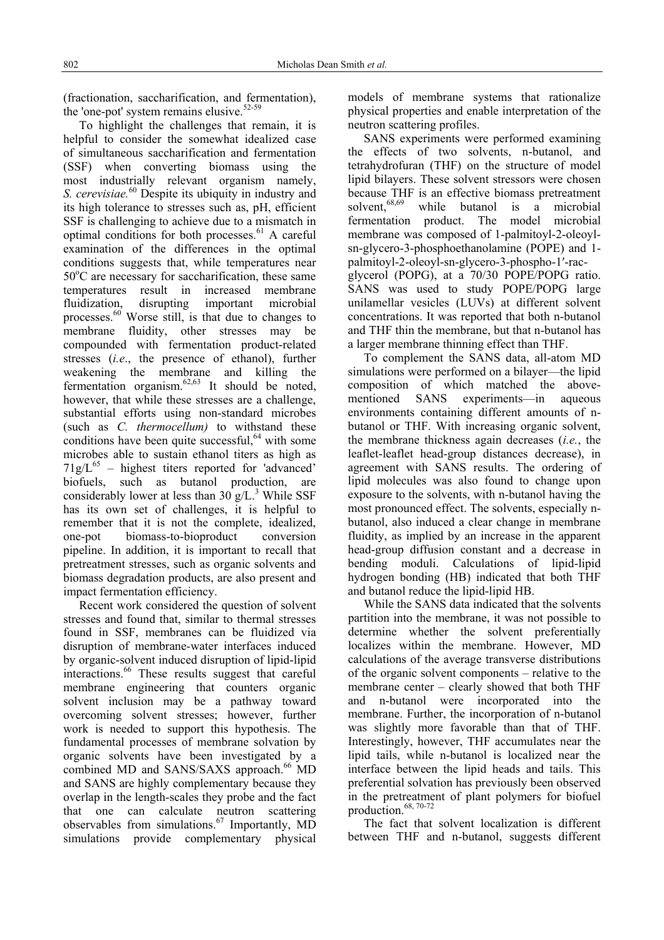(fractionation, saccharification, and fermentation), the 'one-pot' system remains elusive. $52-59$ 

To highlight the challenges that remain, it is helpful to consider the somewhat idealized case of simultaneous saccharification and fermentation (SSF) when converting biomass using the most industrially relevant organism namely, *S. cerevisiae.*60 Despite its ubiquity in industry and its high tolerance to stresses such as, pH, efficient SSF is challenging to achieve due to a mismatch in optimal conditions for both processes.<sup>61</sup> A careful examination of the differences in the optimal conditions suggests that, while temperatures near 50°C are necessary for saccharification, these same temperatures result in increased membrane fluidization, disrupting important microbial processes. $60$  Worse still, is that due to changes to membrane fluidity, other stresses may be compounded with fermentation product-related stresses (*i.e*., the presence of ethanol), further weakening the membrane and killing the fermentation organism.<sup>62,63</sup> It should be noted, however, that while these stresses are a challenge, substantial efforts using non-standard microbes (such as *C. thermocellum)* to withstand these conditions have been quite successful, $64$  with some microbes able to sustain ethanol titers as high as  $71g/L^{65}$  – highest titers reported for 'advanced' biofuels, such as butanol production, are considerably lower at less than  $30 \text{ g/L}^3$ . While SSF has its own set of challenges, it is helpful to remember that it is not the complete, idealized, one-pot biomass-to-bioproduct conversion pipeline. In addition, it is important to recall that pretreatment stresses, such as organic solvents and biomass degradation products, are also present and impact fermentation efficiency.

Recent work considered the question of solvent stresses and found that, similar to thermal stresses found in SSF, membranes can be fluidized via disruption of membrane-water interfaces induced by organic-solvent induced disruption of lipid-lipid interactions.<sup>66</sup> These results suggest that careful membrane engineering that counters organic solvent inclusion may be a pathway toward overcoming solvent stresses; however, further work is needed to support this hypothesis. The fundamental processes of membrane solvation by organic solvents have been investigated by a combined MD and SANS/SAXS approach.<sup>66</sup> MD and SANS are highly complementary because they overlap in the length-scales they probe and the fact that one can calculate neutron scattering observables from simulations.<sup>67</sup> Importantly, MD simulations provide complementary physical models of membrane systems that rationalize physical properties and enable interpretation of the neutron scattering profiles.

SANS experiments were performed examining the effects of two solvents, n-butanol, and tetrahydrofuran (THF) on the structure of model lipid bilayers. These solvent stressors were chosen because THF is an effective biomass pretreatment<br>solvent,<sup>68,69</sup> while butanol is a microbial while butanol is a microbial fermentation product. The model microbial membrane was composed of 1-palmitoyl-2-oleoylsn-glycero-3-phosphoethanolamine (POPE) and 1 palmitoyl-2-oleoyl-sn-glycero-3-phospho-1′-racglycerol (POPG), at a 70/30 POPE/POPG ratio. SANS was used to study POPE/POPG large unilamellar vesicles (LUVs) at different solvent concentrations. It was reported that both n-butanol and THF thin the membrane, but that n-butanol has a larger membrane thinning effect than THF.

To complement the SANS data, all-atom MD simulations were performed on a bilayer—the lipid composition of which matched the abovementioned SANS experiments—in aqueous environments containing different amounts of nbutanol or THF. With increasing organic solvent, the membrane thickness again decreases (*i.e.*, the leaflet-leaflet head-group distances decrease), in agreement with SANS results. The ordering of lipid molecules was also found to change upon exposure to the solvents, with n-butanol having the most pronounced effect. The solvents, especially nbutanol, also induced a clear change in membrane fluidity, as implied by an increase in the apparent head-group diffusion constant and a decrease in bending moduli. Calculations of lipid-lipid hydrogen bonding (HB) indicated that both THF and butanol reduce the lipid-lipid HB.

While the SANS data indicated that the solvents partition into the membrane, it was not possible to determine whether the solvent preferentially localizes within the membrane. However, MD calculations of the average transverse distributions of the organic solvent components – relative to the membrane center – clearly showed that both THF and n-butanol were incorporated into the membrane. Further, the incorporation of n-butanol was slightly more favorable than that of THF. Interestingly, however, THF accumulates near the lipid tails, while n-butanol is localized near the interface between the lipid heads and tails. This preferential solvation has previously been observed in the pretreatment of plant polymers for biofuel production.68, 70-72

The fact that solvent localization is different between THF and n-butanol, suggests different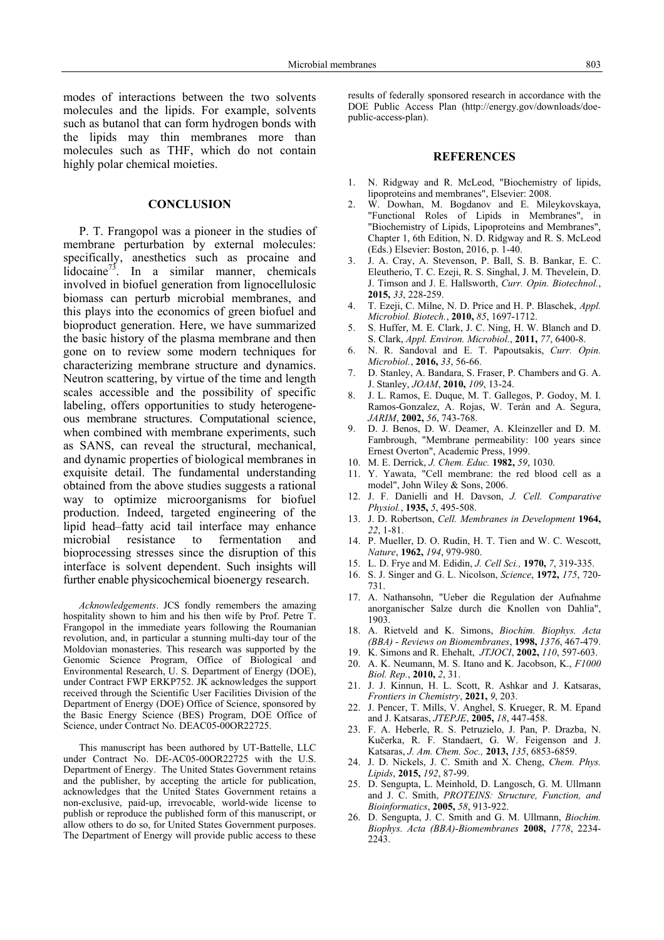modes of interactions between the two solvents molecules and the lipids. For example, solvents such as butanol that can form hydrogen bonds with the lipids may thin membranes more than molecules such as THF, which do not contain highly polar chemical moieties.

#### **CONCLUSION**

P. T. Frangopol was a pioneer in the studies of membrane perturbation by external molecules: specifically, anesthetics such as procaine and lidocaine<sup>73</sup>. In a similar manner, chemicals involved in biofuel generation from lignocellulosic biomass can perturb microbial membranes, and this plays into the economics of green biofuel and bioproduct generation. Here, we have summarized the basic history of the plasma membrane and then gone on to review some modern techniques for characterizing membrane structure and dynamics. Neutron scattering, by virtue of the time and length scales accessible and the possibility of specific labeling, offers opportunities to study heterogeneous membrane structures. Computational science, when combined with membrane experiments, such as SANS, can reveal the structural, mechanical, and dynamic properties of biological membranes in exquisite detail. The fundamental understanding obtained from the above studies suggests a rational way to optimize microorganisms for biofuel production. Indeed, targeted engineering of the lipid head–fatty acid tail interface may enhance microbial resistance to fermentation and bioprocessing stresses since the disruption of this interface is solvent dependent. Such insights will further enable physicochemical bioenergy research.

*Acknowledgements*. JCS fondly remembers the amazing hospitality shown to him and his then wife by Prof. Petre T. Frangopol in the immediate years following the Roumanian revolution, and, in particular a stunning multi-day tour of the Moldovian monasteries. This research was supported by the Genomic Science Program, Office of Biological and Environmental Research, U. S. Department of Energy (DOE), under Contract FWP ERKP752. JK acknowledges the support received through the Scientific User Facilities Division of the Department of Energy (DOE) Office of Science, sponsored by the Basic Energy Science (BES) Program, DOE Office of Science, under Contract No. DEAC05-00OR22725.

This manuscript has been authored by UT-Battelle, LLC under Contract No. DE-AC05-00OR22725 with the U.S. Department of Energy. The United States Government retains and the publisher, by accepting the article for publication, acknowledges that the United States Government retains a non-exclusive, paid-up, irrevocable, world-wide license to publish or reproduce the published form of this manuscript, or allow others to do so, for United States Government purposes. The Department of Energy will provide public access to these

results of federally sponsored research in accordance with the DOE Public Access Plan (http://energy.gov/downloads/doepublic-access-plan).

#### **REFERENCES**

- 1. N. Ridgway and R. McLeod, "Biochemistry of lipids, lipoproteins and membranes", Elsevier: 2008.
- 2. W. Dowhan, M. Bogdanov and E. Mileykovskaya, "Functional Roles of Lipids in Membranes", in "Biochemistry of Lipids, Lipoproteins and Membranes", Chapter 1, 6th Edition, N. D. Ridgway and R. S. McLeod (Eds.) Elsevier: Boston, 2016, p. 1-40.
- 3. J. A. Cray, A. Stevenson, P. Ball, S. B. Bankar, E. C. Eleutherio, T. C. Ezeji, R. S. Singhal, J. M. Thevelein, D. J. Timson and J. E. Hallsworth, *Curr. Opin. Biotechnol.*, **2015,** *33*, 228-259.
- 4. T. Ezeji, C. Milne, N. D. Price and H. P. Blaschek, *Appl. Microbiol. Biotech.*, **2010,** *85*, 1697-1712.
- 5. S. Huffer, M. E. Clark, J. C. Ning, H. W. Blanch and D. S. Clark, *Appl. Environ. Microbiol.*, **2011,** *77*, 6400-8.
- 6. N. R. Sandoval and E. T. Papoutsakis, *Curr. Opin. Microbiol.*, **2016,** *33*, 56-66.
- 7. D. Stanley, A. Bandara, S. Fraser, P. Chambers and G. A. J. Stanley, *JOAM*, **2010,** *109*, 13-24.
- 8. J. L. Ramos, E. Duque, M. T. Gallegos, P. Godoy, M. I. Ramos-Gonzalez, A. Rojas, W. Terán and A. Segura, *JARIM*, **2002,** *56*, 743-768.
- 9. D. J. Benos, D. W. Deamer, A. Kleinzeller and D. M. Fambrough, "Membrane permeability: 100 years since Ernest Overton", Academic Press, 1999.
- 10. M. E. Derrick, *J. Chem. Educ.* **1982,** *59*, 1030.
- 11. Y. Yawata, "Cell membrane: the red blood cell as a model", John Wiley & Sons, 2006.
- 12. J. F. Danielli and H. Davson, *J. Cell. Comparative Physiol.*, **1935,** *5*, 495-508.
- 13. J. D. Robertson, *Cell. Membranes in Development* **1964,** *22*, 1-81.
- 14. P. Mueller, D. O. Rudin, H. T. Tien and W. C. Wescott, *Nature*, **1962,** *194*, 979-980.
- 15. L. D. Frye and M. Edidin, *J. Cell Sci.,* **1970,** *7*, 319-335.
- 16. S. J. Singer and G. L. Nicolson, *Science*, **1972,** *175*, 720- 731.
- 17. A. Nathansohn, "Ueber die Regulation der Aufnahme anorganischer Salze durch die Knollen von Dahlia", 1903.
- 18. A. Rietveld and K. Simons, *Biochim. Biophys. Acta (BBA) - Reviews on Biomembranes*, **1998,** *1376*, 467-479.
- 19. K. Simons and R. Ehehalt, *JTJOCI*, **2002,** *110*, 597-603.
- 20. A. K. Neumann, M. S. Itano and K. Jacobson, K., *F1000 Biol. Rep.*, **2010,** *2*, 31.
- 21. J. J. Kinnun, H. L. Scott, R. Ashkar and J. Katsaras, *Frontiers in Chemistry*, **2021,** *9*, 203.
- 22. J. Pencer, T. Mills, V. Anghel, S. Krueger, R. M. Epand and J. Katsaras, *JTEPJE*, **2005,** *18*, 447-458.
- 23. F. A. Heberle, R. S. Petruzielo, J. Pan, P. Drazba, N. Kučerka, R. F. Standaert, G. W. Feigenson and J. Katsaras, *J. Am. Chem. Soc.,* **2013,** *135*, 6853-6859.
- 24. J. D. Nickels, J. C. Smith and X. Cheng, *Chem. Phys. Lipids*, **2015,** *192*, 87-99.
- 25. D. Sengupta, L. Meinhold, D. Langosch, G. M. Ullmann and J. C. Smith, *PROTEINS: Structure, Function, and Bioinformatics*, **2005,** *58*, 913-922.
- 26. D. Sengupta, J. C. Smith and G. M. Ullmann, *Biochim. Biophys. Acta (BBA)-Biomembranes* **2008,** *1778*, 2234- 2243.